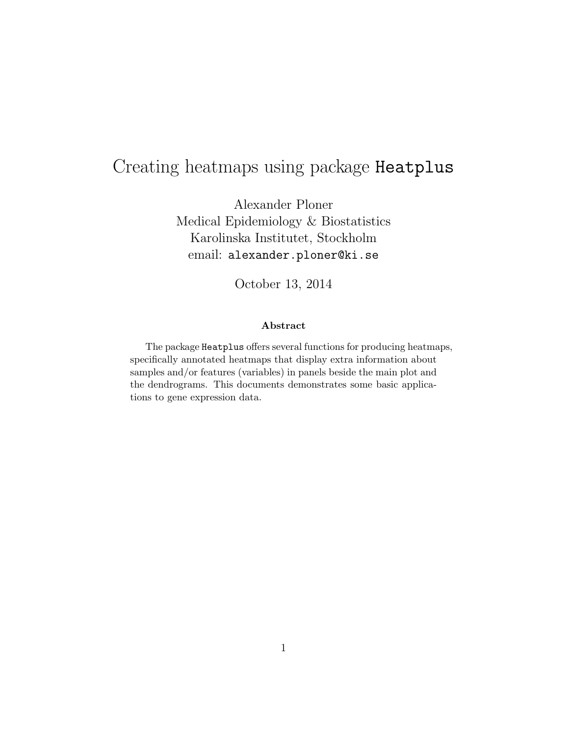# Creating heatmaps using package Heatplus

Alexander Ploner Medical Epidemiology & Biostatistics Karolinska Institutet, Stockholm email: alexander.ploner@ki.se

October 13, 2014

#### Abstract

The package Heatplus offers several functions for producing heatmaps, specifically annotated heatmaps that display extra information about samples and/or features (variables) in panels beside the main plot and the dendrograms. This documents demonstrates some basic applications to gene expression data.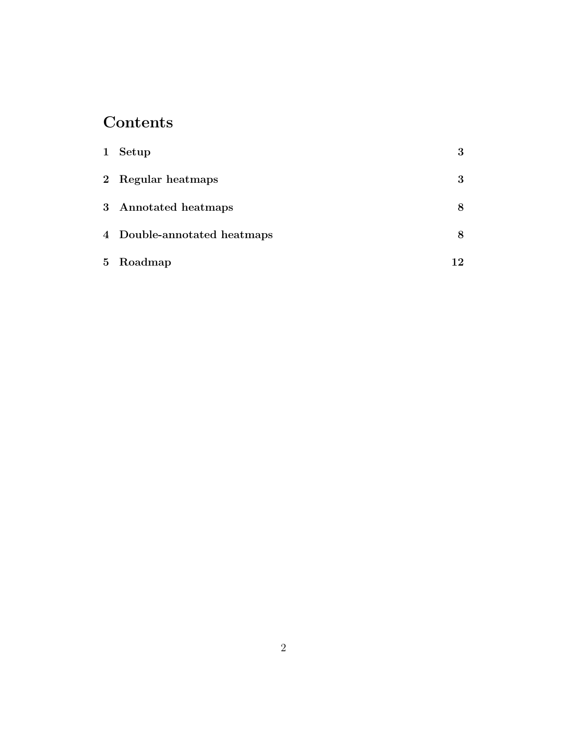# Contents

| $\mathbf{1}$ | Setup                       | $\bf{3}$ |
|--------------|-----------------------------|----------|
|              | 2 Regular heatmaps          | 3        |
|              | 3 Annotated heatmaps        | 8        |
|              | 4 Double-annotated heatmaps | 8        |
|              | 5 Roadmap                   | 12       |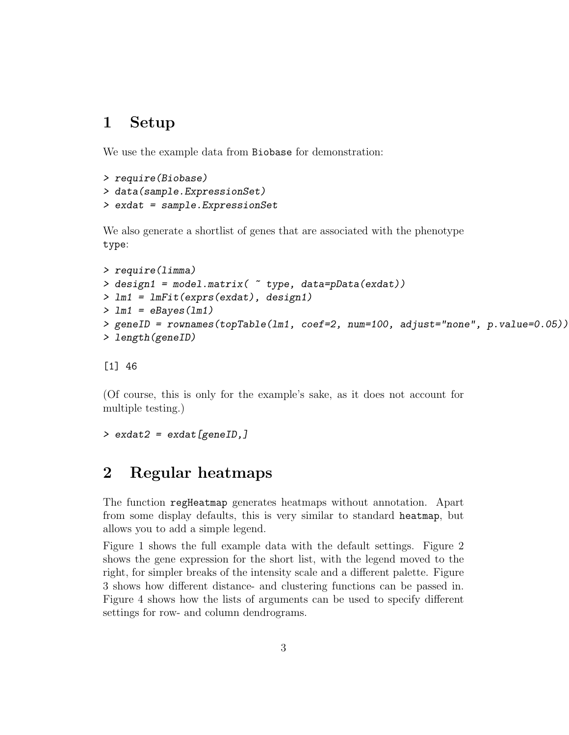## 1 Setup

We use the example data from Biobase for demonstration:

```
> require(Biobase)
> data(sample.ExpressionSet)
> exdat = sample.ExpressionSet
```
We also generate a shortlist of genes that are associated with the phenotype type:

```
> require(limma)
> design1 = model.matrix( ~ type, data=pData(exdat))
> lm1 = lmFit(exprs(exdat), design1)
> lm1 = eBayes(lm1)
> geneID = rownames(topTable(lm1, coef=2, num=100, adjust="none", p.value=0.05))
> length(geneID)
```
[1] 46

(Of course, this is only for the example's sake, as it does not account for multiple testing.)

```
> exdat2 = exdat [geneID,]
```
# 2 Regular heatmaps

The function regHeatmap generates heatmaps without annotation. Apart from some display defaults, this is very similar to standard heatmap, but allows you to add a simple legend.

Figure 1 shows the full example data with the default settings. Figure 2 shows the gene expression for the short list, with the legend moved to the right, for simpler breaks of the intensity scale and a different palette. Figure 3 shows how different distance- and clustering functions can be passed in. Figure 4 shows how the lists of arguments can be used to specify different settings for row- and column dendrograms.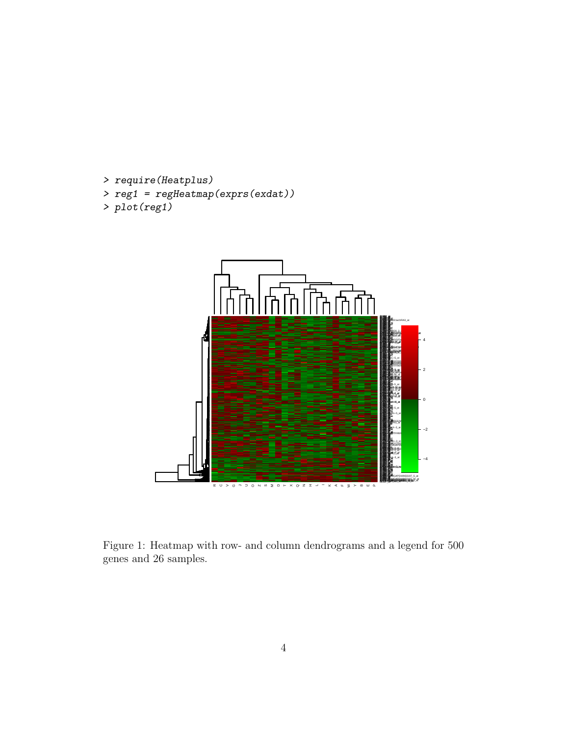```
> require(Heatplus)
> reg1 = regHeatmap(exprs(exdat))
```

```
> plot(reg1)
```


Figure 1: Heatmap with row- and column dendrograms and a legend for 500 genes and 26 samples.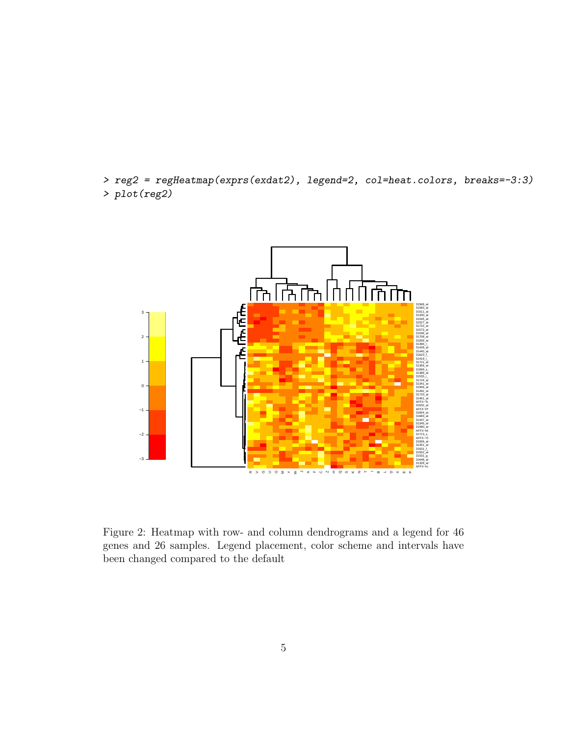> reg2 = regHeatmap(exprs(exdat2), legend=2, col=heat.colors, breaks=-3:3) > plot(reg2)



Figure 2: Heatmap with row- and column dendrograms and a legend for 46 genes and 26 samples. Legend placement, color scheme and intervals have been changed compared to the default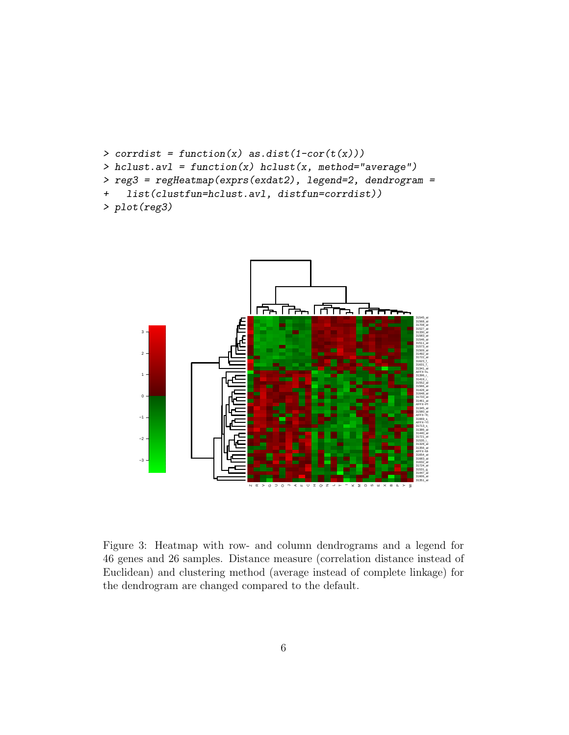```
\geq corrdist = function(x) as.dist(1-cor(t(x)))
> hclust.avl = function(x) hclust(x, method="average")
> reg3 = regHeatmap(exprs(exdat2), legend=2, dendrogram =
+ list(clustfun=hclust.avl, distfun=corrdist))
> plot(reg3)
```


Figure 3: Heatmap with row- and column dendrograms and a legend for 46 genes and 26 samples. Distance measure (correlation distance instead of Euclidean) and clustering method (average instead of complete linkage) for the dendrogram are changed compared to the default.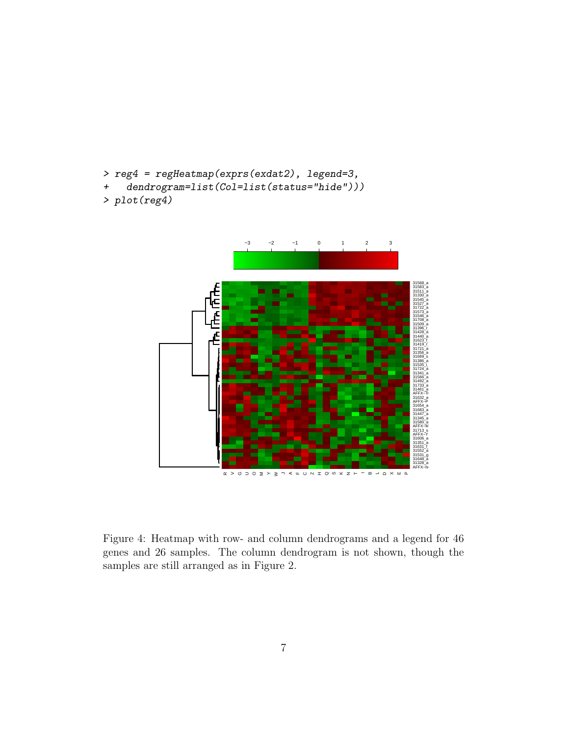- > reg4 = regHeatmap(exprs(exdat2), legend=3,
- + dendrogram=list(Col=list(status="hide")))

```
> plot(reg4)
```


Figure 4: Heatmap with row- and column dendrograms and a legend for 46 genes and 26 samples. The column dendrogram is not shown, though the samples are still arranged as in Figure 2.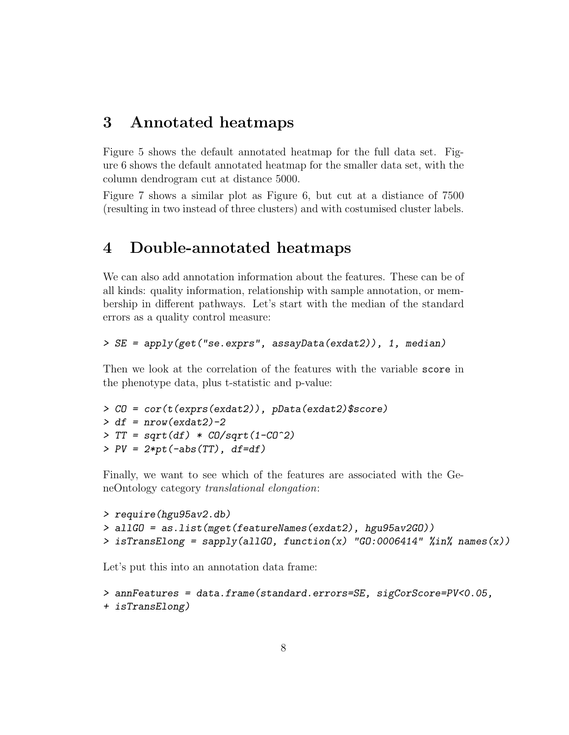## 3 Annotated heatmaps

Figure 5 shows the default annotated heatmap for the full data set. Figure 6 shows the default annotated heatmap for the smaller data set, with the column dendrogram cut at distance 5000.

Figure 7 shows a similar plot as Figure 6, but cut at a distiance of 7500 (resulting in two instead of three clusters) and with costumised cluster labels.

## 4 Double-annotated heatmaps

We can also add annotation information about the features. These can be of all kinds: quality information, relationship with sample annotation, or membership in different pathways. Let's start with the median of the standard errors as a quality control measure:

```
> SE = apply(get("se.exprs", assayData(exdat2)), 1, median)
```
Then we look at the correlation of the features with the variable score in the phenotype data, plus t-statistic and p-value:

```
> CO = cor(t(exprs(exdat2)), pData(exdat2)$score)
> df = nrow(exdat2)-2> TT = sqrt(df) * CD/sqrt(1-C0^2)> PV = 2*pt(-abs(TT), df=df)
```
Finally, we want to see which of the features are associated with the GeneOntology category translational elongation:

```
> require(hgu95av2.db)
> allGO = as.list(mget(featureNames(exdat2), hgu95av2GO))
> isTransElong = sapply(allGO, function(x) "GO:0006414" %in% names(x))
```
Let's put this into an annotation data frame:

```
> annFeatures = data.frame(standard.errors=SE, sigCorScore=PV<0.05,
+ isTransElong)
```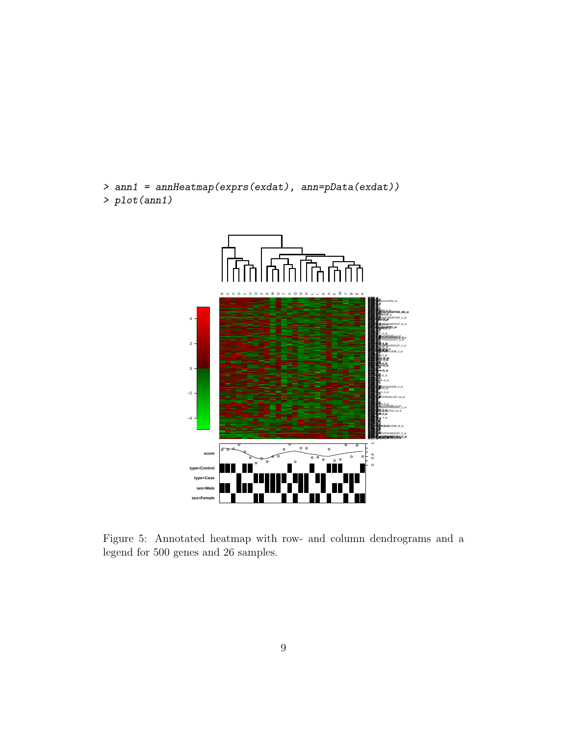```
> ann1 = annHeatmap(exprs(exdat), ann=pData(exdat))
> plot(ann1)
```


Figure 5: Annotated heatmap with row- and column dendrograms and a legend for 500 genes and 26 samples.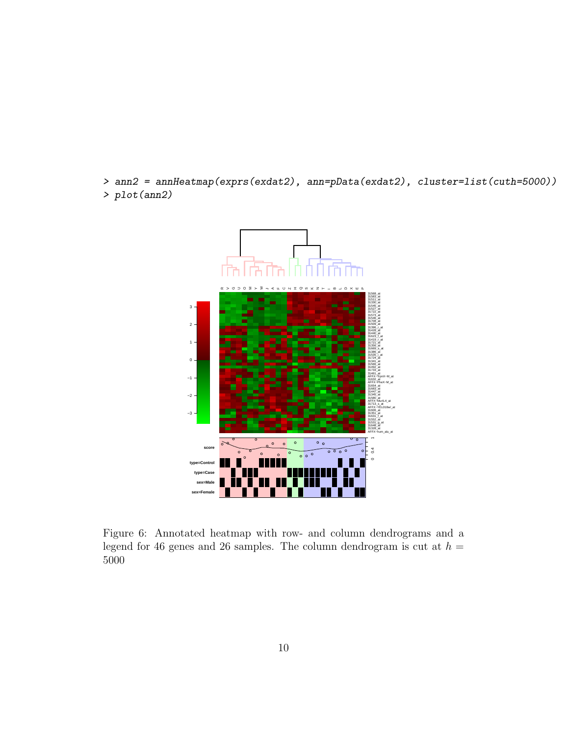> ann2 = annHeatmap(exprs(exdat2), ann=pData(exdat2), cluster=list(cuth=5000)) > plot(ann2)



Figure 6: Annotated heatmap with row- and column dendrograms and a legend for 46 genes and 26 samples. The column dendrogram is cut at  $h =$ 5000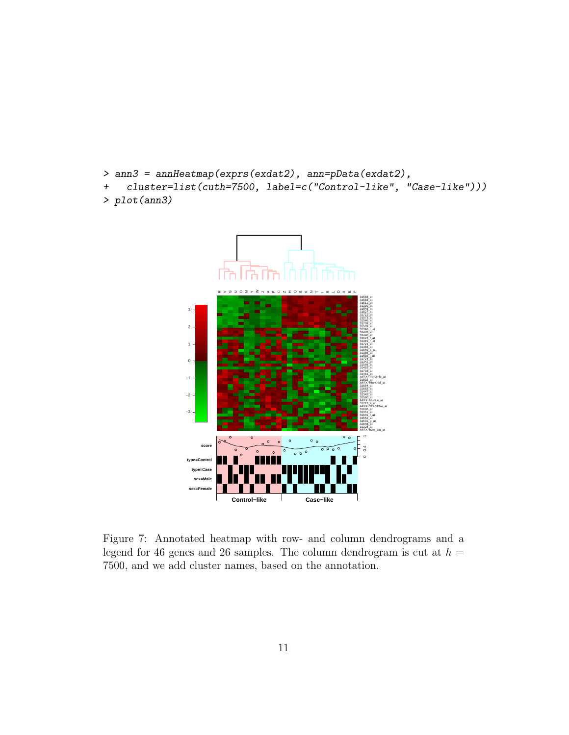```
> ann3 = annHeatmap(exprs(exdat2), ann=pData(exdat2),
+ cluster=list(cuth=7500, label=c("Control-like", "Case-like")))
> plot(ann3)
```


Figure 7: Annotated heatmap with row- and column dendrograms and a legend for 46 genes and 26 samples. The column dendrogram is cut at  $h =$ 7500, and we add cluster names, based on the annotation.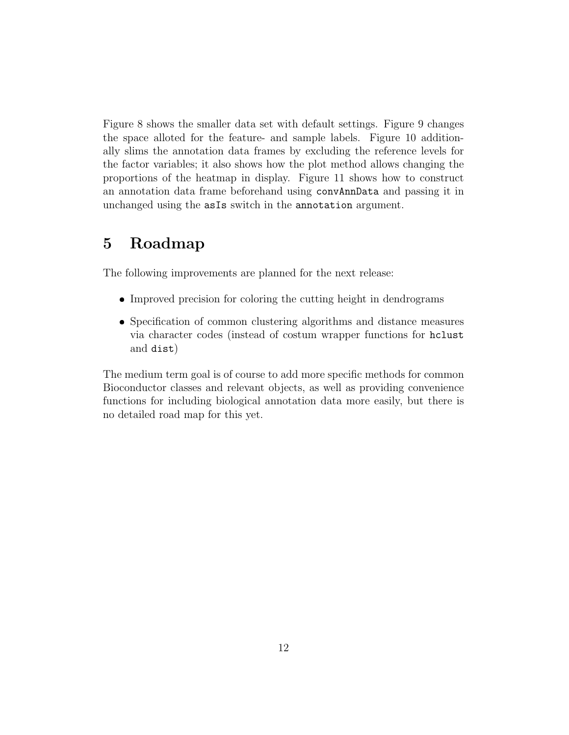Figure 8 shows the smaller data set with default settings. Figure 9 changes the space alloted for the feature- and sample labels. Figure 10 additionally slims the annotation data frames by excluding the reference levels for the factor variables; it also shows how the plot method allows changing the proportions of the heatmap in display. Figure 11 shows how to construct an annotation data frame beforehand using convAnnData and passing it in unchanged using the asIs switch in the annotation argument.

# 5 Roadmap

The following improvements are planned for the next release:

- Improved precision for coloring the cutting height in dendrograms
- Specification of common clustering algorithms and distance measures via character codes (instead of costum wrapper functions for hclust and dist)

The medium term goal is of course to add more specific methods for common Bioconductor classes and relevant objects, as well as providing convenience functions for including biological annotation data more easily, but there is no detailed road map for this yet.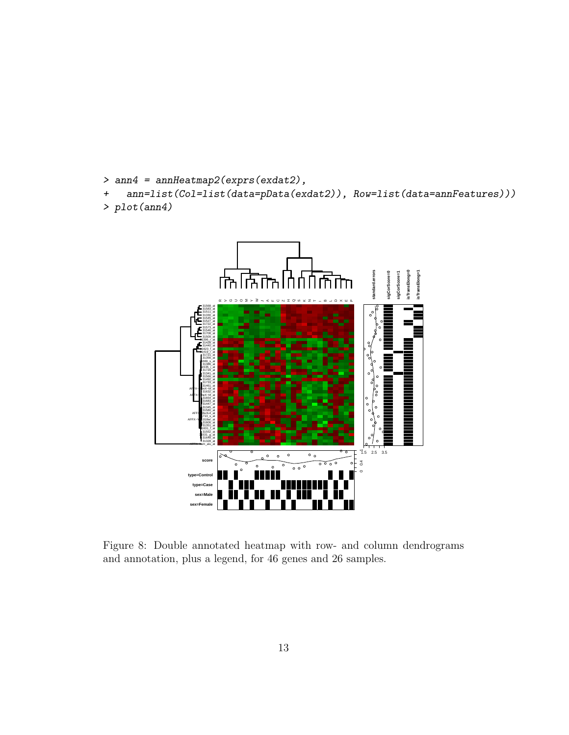```
> ann4 = annHeatmap2(exprs(exdat2),
+ ann=list(Col=list(data=pData(exdat2)), Row=list(data=annFeatures)))
> plot(ann4)
```


Figure 8: Double annotated heatmap with row- and column dendrograms and annotation, plus a legend, for 46 genes and 26 samples.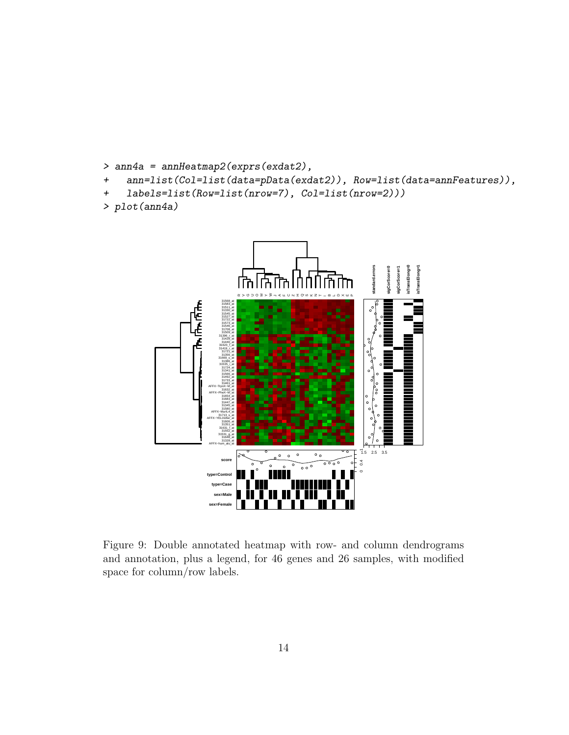```
> ann4a = annHeatmap2(exprs(exdat2),
```
- + ann=list(Col=list(data=pData(exdat2)), Row=list(data=annFeatures)),
- + labels=list(Row=list(nrow=7), Col=list(nrow=2)))

```
> plot(ann4a)
```


Figure 9: Double annotated heatmap with row- and column dendrograms and annotation, plus a legend, for 46 genes and 26 samples, with modified space for column/row labels.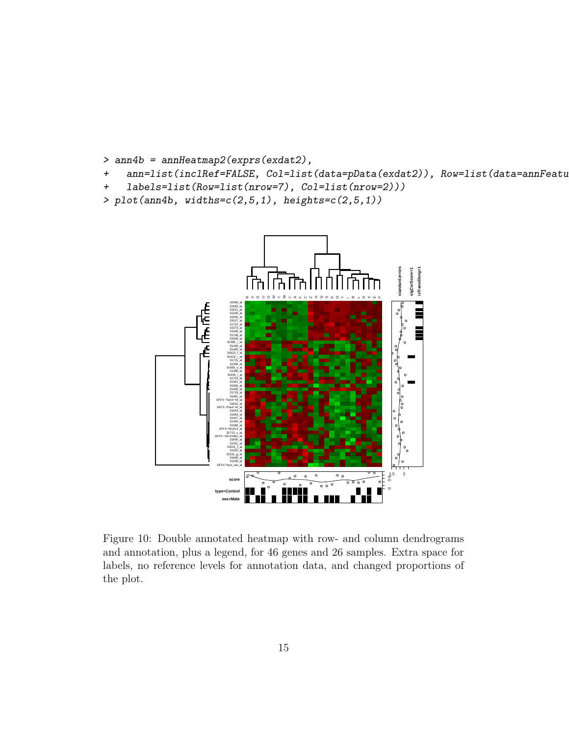```
> ann4b = annHeatmap2(exprs(exdat2),
```
+ ann=list(inclRef=FALSE, Col=list(data=pData(exdat2)), Row=list(data=annFeatu

```
+ labels=list(Row=list(nrow=7), Col=list(nrow=2)))
```

```
> plot(ann4b, widths=c(2,5,1), heights=c(2,5,1))
```


Figure 10: Double annotated heatmap with row- and column dendrograms and annotation, plus a legend, for 46 genes and 26 samples. Extra space for labels, no reference levels for annotation data, and changed proportions of the plot.